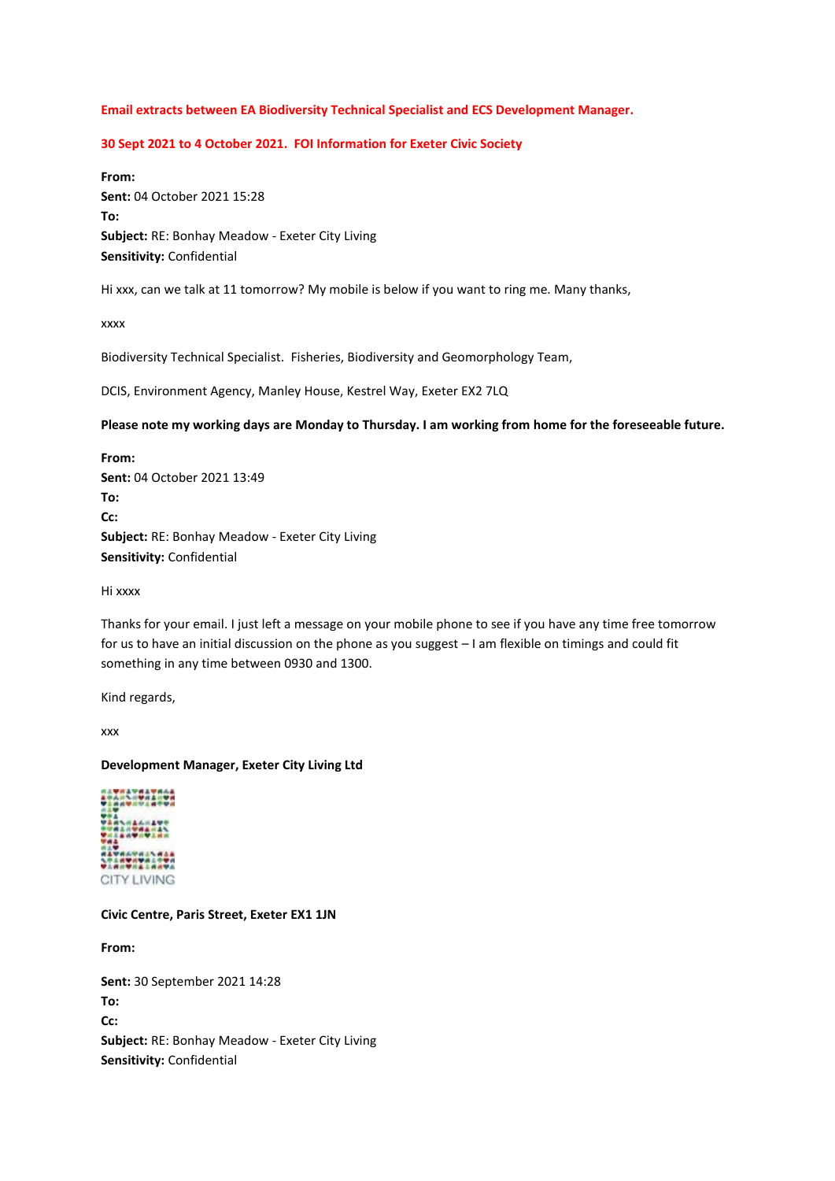## **Email extracts between EA Biodiversity Technical Specialist and ECS Development Manager.**

## **30 Sept 2021 to 4 October 2021. FOI Information for Exeter Civic Society**

**From: Sent:** 04 October 2021 15:28 **To: Subject:** RE: Bonhay Meadow - Exeter City Living **Sensitivity:** Confidential

Hi xxx, can we talk at 11 tomorrow? My mobile is below if you want to ring me. Many thanks,

xxxx

Biodiversity Technical Specialist. Fisheries, Biodiversity and Geomorphology Team,

DCIS, Environment Agency, Manley House, Kestrel Way, Exeter EX2 7LQ

#### **Please note my working days are Monday to Thursday. I am working from home for the foreseeable future.**

**From: Sent:** 04 October 2021 13:49 **To: Cc: Subject:** RE: Bonhay Meadow - Exeter City Living **Sensitivity:** Confidential

Hi xxxx

Thanks for your email. I just left a message on your mobile phone to see if you have any time free tomorrow for us to have an initial discussion on the phone as you suggest – I am flexible on timings and could fit something in any time between 0930 and 1300.

Kind regards,

xxx

### **Development Manager, Exeter City Living Ltd**



**Civic Centre, Paris Street, Exeter EX1 1JN**

**From:**

**Sent:** 30 September 2021 14:28 **To: Cc: Subject:** RE: Bonhay Meadow - Exeter City Living **Sensitivity:** Confidential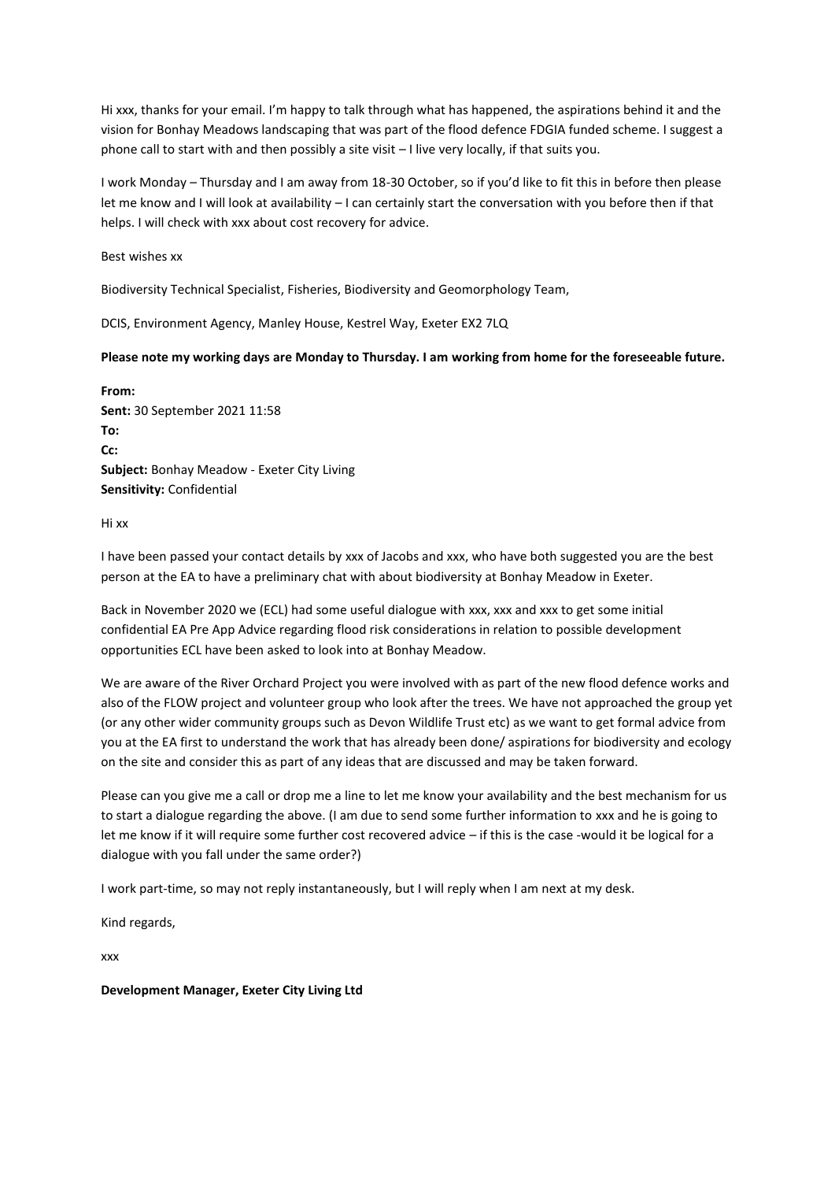Hi xxx, thanks for your email. I'm happy to talk through what has happened, the aspirations behind it and the vision for Bonhay Meadows landscaping that was part of the flood defence FDGIA funded scheme. I suggest a phone call to start with and then possibly a site visit – I live very locally, if that suits you.

I work Monday – Thursday and I am away from 18-30 October, so if you'd like to fit this in before then please let me know and I will look at availability – I can certainly start the conversation with you before then if that helps. I will check with xxx about cost recovery for advice.

Best wishes xx

Biodiversity Technical Specialist, Fisheries, Biodiversity and Geomorphology Team,

DCIS, Environment Agency, Manley House, Kestrel Way, Exeter EX2 7LQ

### **Please note my working days are Monday to Thursday. I am working from home for the foreseeable future.**

**From: Sent:** 30 September 2021 11:58 **To: Cc: Subject:** Bonhay Meadow - Exeter City Living **Sensitivity:** Confidential

Hi xx

I have been passed your contact details by xxx of Jacobs and xxx, who have both suggested you are the best person at the EA to have a preliminary chat with about biodiversity at Bonhay Meadow in Exeter.

Back in November 2020 we (ECL) had some useful dialogue with xxx, xxx and xxx to get some initial confidential EA Pre App Advice regarding flood risk considerations in relation to possible development opportunities ECL have been asked to look into at Bonhay Meadow.

We are aware of the River Orchard Project you were involved with as part of the new flood defence works and also of the FLOW project and volunteer group who look after the trees. We have not approached the group yet (or any other wider community groups such as Devon Wildlife Trust etc) as we want to get formal advice from you at the EA first to understand the work that has already been done/ aspirations for biodiversity and ecology on the site and consider this as part of any ideas that are discussed and may be taken forward.

Please can you give me a call or drop me a line to let me know your availability and the best mechanism for us to start a dialogue regarding the above. (I am due to send some further information to xxx and he is going to let me know if it will require some further cost recovered advice – if this is the case -would it be logical for a dialogue with you fall under the same order?)

I work part-time, so may not reply instantaneously, but I will reply when I am next at my desk.

Kind regards,

xxx

**Development Manager, Exeter City Living Ltd**